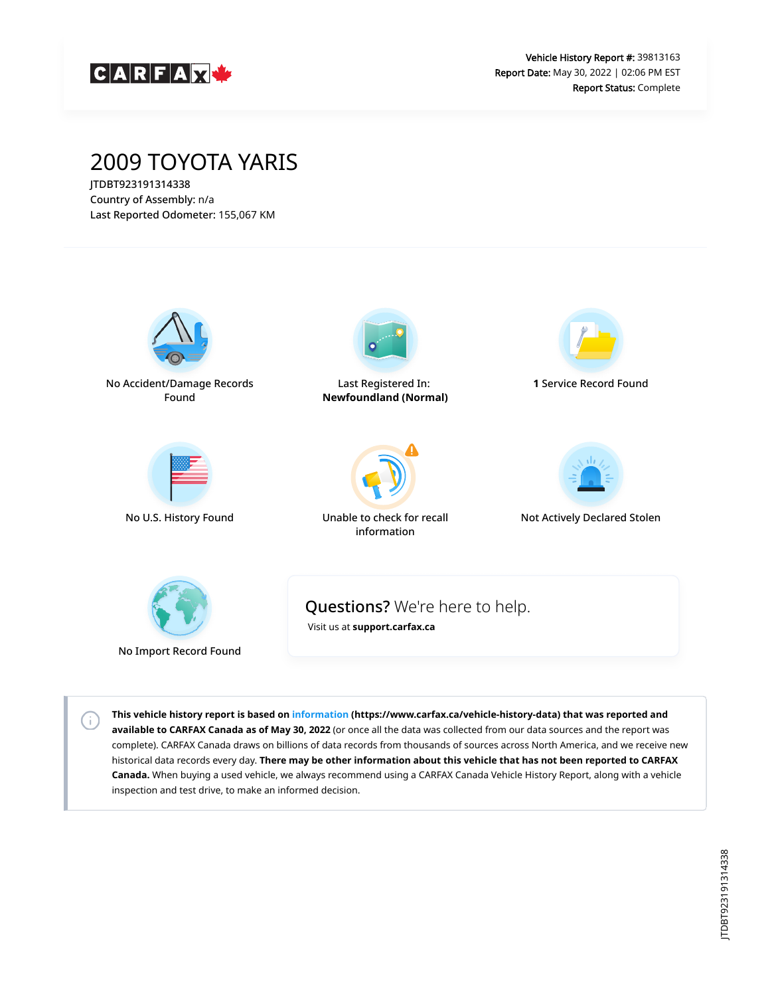

## 2009 TOYOTA YARIS

JTDBT923191314338 Country of Assembly: n/a Last Reported Odometer: 155,067 KM

 $\left( \cdot \right)$ 



**This vehicle history report is based on [information](https://www.carfax.ca/vehicle-history-data) (https://www.carfax.ca/vehicle-history-data) that was reported and available to CARFAX Canada as of May 30, 2022** (or once all the data was collected from our data sources and the report was complete). CARFAX Canada draws on billions of data records from thousands of sources across North America, and we receive new historical data records every day. **There may be other information about this vehicle that has not been reported to CARFAX Canada.** When buying a used vehicle, we always recommend using a CARFAX Canada Vehicle History Report, along with a vehicle inspection and test drive, to make an informed decision.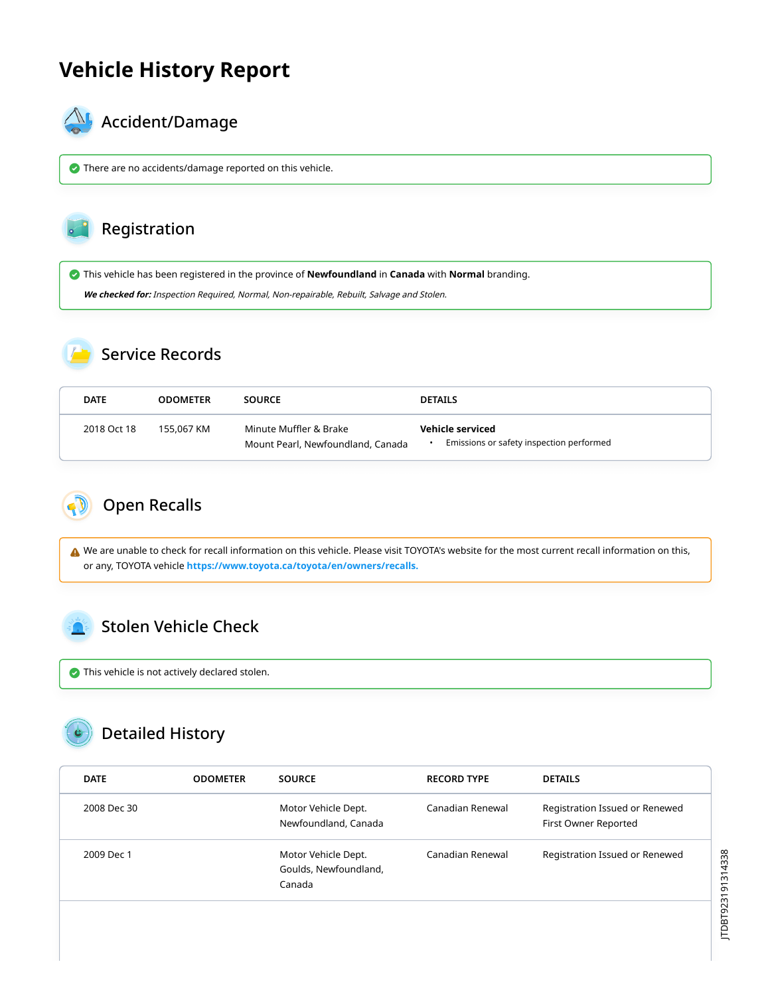## **Vehicle History Report**



## $\mathbb{A}_{\mathbb{A}}$  Accident/Damage

There are no accidents/damage reported on this vehicle.

#### Registration

This vehicle has been registered in the province of **Newfoundland** in **Canada** with **Normal** branding.

**We checked for:** Inspection Required, Normal, Non-repairable, Rebuilt, Salvage and Stolen.

### Service Records

| <b>DATE</b> | <b>ODOMETER</b> | <b>SOURCE</b>                                               | <b>DETAILS</b>                                               |
|-------------|-----------------|-------------------------------------------------------------|--------------------------------------------------------------|
| 2018 Oct 18 | 155.067 KM      | Minute Muffler & Brake<br>Mount Pearl, Newfoundland, Canada | Vehicle serviced<br>Emissions or safety inspection performed |

<span id="page-1-0"></span>

△ We are unable to check for recall information on this vehicle. Please visit TOYOTA's website for the most current recall information on this, or any, TOYOTA vehicle **[https://www.toyota.ca/toyota/en/owners/recalls.](https://www.toyota.ca/toyota/en/owners/recalls)**

### <span id="page-1-1"></span>Stolen Vehicle Check

 $\bullet$  This vehicle is not actively declared stolen.

# Detailed History

| <b>DATE</b> | <b>ODOMETER</b> | <b>SOURCE</b>                                          | <b>RECORD TYPE</b> | <b>DETAILS</b>                                         |
|-------------|-----------------|--------------------------------------------------------|--------------------|--------------------------------------------------------|
| 2008 Dec 30 |                 | Motor Vehicle Dept.<br>Newfoundland, Canada            | Canadian Renewal   | Registration Issued or Renewed<br>First Owner Reported |
| 2009 Dec 1  |                 | Motor Vehicle Dept.<br>Goulds, Newfoundland,<br>Canada | Canadian Renewal   | Registration Issued or Renewed                         |
|             |                 |                                                        |                    |                                                        |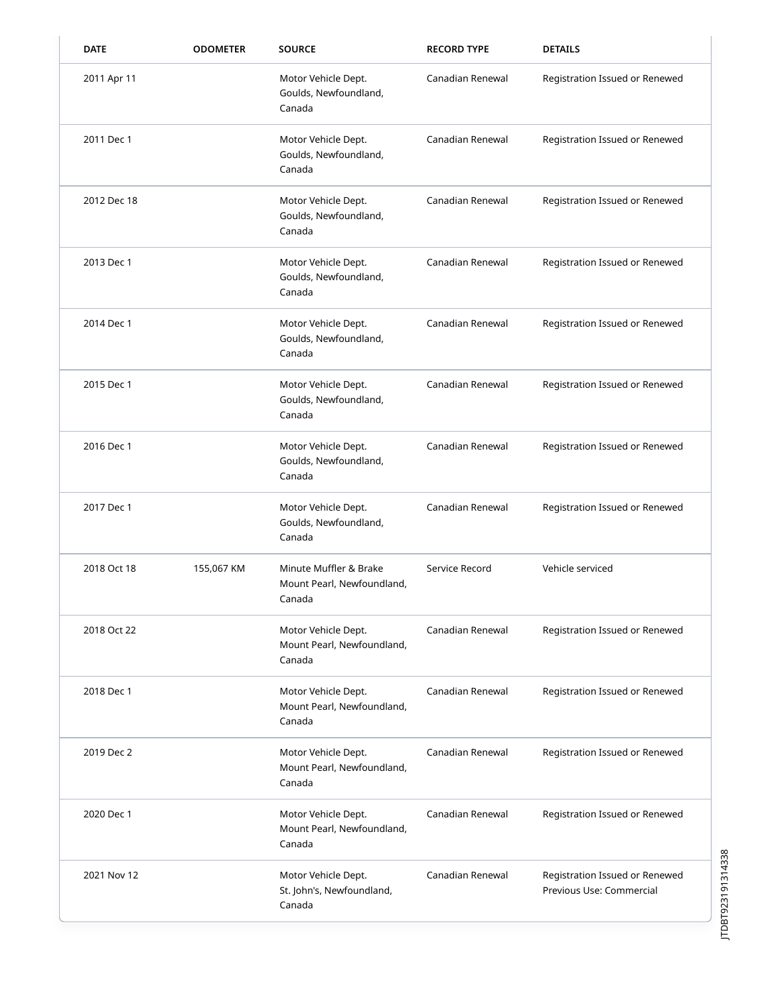| <b>DATE</b> | <b>ODOMETER</b> | <b>SOURCE</b>                                                  | <b>RECORD TYPE</b> | <b>DETAILS</b>                                             |
|-------------|-----------------|----------------------------------------------------------------|--------------------|------------------------------------------------------------|
| 2011 Apr 11 |                 | Motor Vehicle Dept.<br>Goulds, Newfoundland,<br>Canada         | Canadian Renewal   | Registration Issued or Renewed                             |
| 2011 Dec 1  |                 | Motor Vehicle Dept.<br>Goulds, Newfoundland,<br>Canada         | Canadian Renewal   | Registration Issued or Renewed                             |
| 2012 Dec 18 |                 | Motor Vehicle Dept.<br>Goulds, Newfoundland,<br>Canada         | Canadian Renewal   | Registration Issued or Renewed                             |
| 2013 Dec 1  |                 | Motor Vehicle Dept.<br>Goulds, Newfoundland,<br>Canada         | Canadian Renewal   | Registration Issued or Renewed                             |
| 2014 Dec 1  |                 | Motor Vehicle Dept.<br>Goulds, Newfoundland,<br>Canada         | Canadian Renewal   | Registration Issued or Renewed                             |
| 2015 Dec 1  |                 | Motor Vehicle Dept.<br>Goulds, Newfoundland,<br>Canada         | Canadian Renewal   | Registration Issued or Renewed                             |
| 2016 Dec 1  |                 | Motor Vehicle Dept.<br>Goulds, Newfoundland,<br>Canada         | Canadian Renewal   | Registration Issued or Renewed                             |
| 2017 Dec 1  |                 | Motor Vehicle Dept.<br>Goulds, Newfoundland,<br>Canada         | Canadian Renewal   | Registration Issued or Renewed                             |
| 2018 Oct 18 | 155,067 KM      | Minute Muffler & Brake<br>Mount Pearl, Newfoundland,<br>Canada | Service Record     | Vehicle serviced                                           |
| 2018 Oct 22 |                 | Motor Vehicle Dept.<br>Mount Pearl, Newfoundland,<br>Canada    | Canadian Renewal   | Registration Issued or Renewed                             |
| 2018 Dec 1  |                 | Motor Vehicle Dept.<br>Mount Pearl, Newfoundland,<br>Canada    | Canadian Renewal   | Registration Issued or Renewed                             |
| 2019 Dec 2  |                 | Motor Vehicle Dept.<br>Mount Pearl, Newfoundland,<br>Canada    | Canadian Renewal   | Registration Issued or Renewed                             |
| 2020 Dec 1  |                 | Motor Vehicle Dept.<br>Mount Pearl, Newfoundland,<br>Canada    | Canadian Renewal   | Registration Issued or Renewed                             |
| 2021 Nov 12 |                 | Motor Vehicle Dept.<br>St. John's, Newfoundland,<br>Canada     | Canadian Renewal   | Registration Issued or Renewed<br>Previous Use: Commercial |